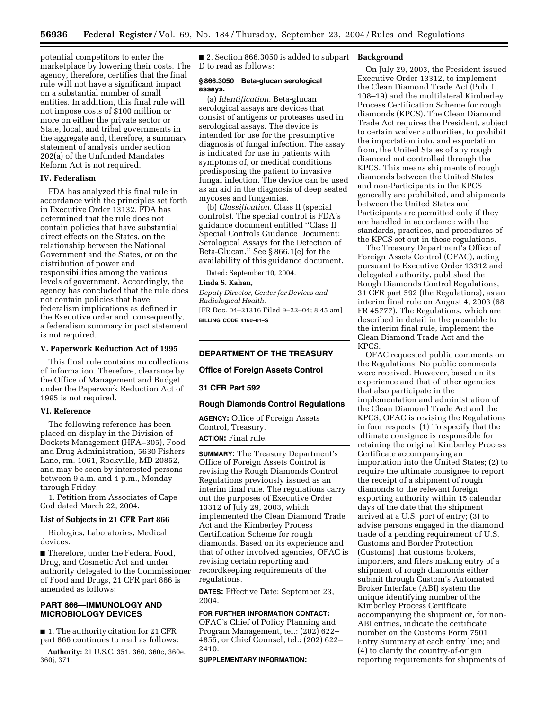potential competitors to enter the marketplace by lowering their costs. The agency, therefore, certifies that the final rule will not have a significant impact on a substantial number of small entities. In addition, this final rule will not impose costs of \$100 million or more on either the private sector or State, local, and tribal governments in the aggregate and, therefore, a summary statement of analysis under section 202(a) of the Unfunded Mandates Reform Act is not required.

# **IV. Federalism**

FDA has analyzed this final rule in accordance with the principles set forth in Executive Order 13132. FDA has determined that the rule does not contain policies that have substantial direct effects on the States, on the relationship between the National Government and the States, or on the distribution of power and responsibilities among the various levels of government. Accordingly, the agency has concluded that the rule does not contain policies that have federalism implications as defined in the Executive order and, consequently, a federalism summary impact statement is not required.

# **V. Paperwork Reduction Act of 1995**

This final rule contains no collections of information. Therefore, clearance by the Office of Management and Budget under the Paperwork Reduction Act of 1995 is not required.

## **VI. Reference**

The following reference has been placed on display in the Division of Dockets Management (HFA–305), Food and Drug Administration, 5630 Fishers Lane, rm. 1061, Rockville, MD 20852, and may be seen by interested persons between 9 a.m. and 4 p.m., Monday through Friday.

1. Petition from Associates of Cape Cod dated March 22, 2004.

#### **List of Subjects in 21 CFR Part 866**

Biologics, Laboratories, Medical devices.

■ Therefore, under the Federal Food, Drug, and Cosmetic Act and under authority delegated to the Commissioner of Food and Drugs, 21 CFR part 866 is amended as follows:

# **PART 866—IMMUNOLOGY AND MICROBIOLOGY DEVICES**

■ 1. The authority citation for 21 CFR part 866 continues to read as follows:

**Authority:** 21 U.S.C. 351, 360, 360c, 360e, 360j, 371.

■ 2. Section 866.3050 is added to subpart **Background** D to read as follows:

# **§ 866.3050 Beta-glucan serological assays.**

(a) *Identification*. Beta-glucan serological assays are devices that consist of antigens or proteases used in serological assays. The device is intended for use for the presumptive diagnosis of fungal infection. The assay is indicated for use in patients with symptoms of, or medical conditions predisposing the patient to invasive fungal infection. The device can be used as an aid in the diagnosis of deep seated mycoses and fungemias.

(b) *Classification*. Class II (special controls). The special control is FDA's guidance document entitled ''Class II Special Controls Guidance Document: Serological Assays for the Detection of Beta-Glucan.'' See § 866.1(e) for the availability of this guidance document.

Dated: September 10, 2004.

#### **Linda S. Kahan,**

*Deputy Director, Center for Devices and Radiological Health.* [FR Doc. 04–21316 Filed 9–22–04; 8:45 am]

**BILLING CODE 4160–01–S**

# **DEPARTMENT OF THE TREASURY**

# **Office of Foreign Assets Control**

# **31 CFR Part 592**

#### **Rough Diamonds Control Regulations**

**AGENCY:** Office of Foreign Assets Control, Treasury. **ACTION:** Final rule.

**SUMMARY:** The Treasury Department's Office of Foreign Assets Control is revising the Rough Diamonds Control Regulations previously issued as an interim final rule. The regulations carry out the purposes of Executive Order 13312 of July 29, 2003, which implemented the Clean Diamond Trade Act and the Kimberley Process Certification Scheme for rough diamonds. Based on its experience and that of other involved agencies, OFAC is revising certain reporting and recordkeeping requirements of the regulations.

**DATES:** Effective Date: September 23, 2004.

## **FOR FURTHER INFORMATION CONTACT:**

OFAC's Chief of Policy Planning and Program Management, tel.: (202) 622– 4855, or Chief Counsel, tel.: (202) 622– 2410.

#### **SUPPLEMENTARY INFORMATION:**

On July 29, 2003, the President issued Executive Order 13312, to implement the Clean Diamond Trade Act (Pub. L. 108–19) and the multilateral Kimberley Process Certification Scheme for rough diamonds (KPCS). The Clean Diamond Trade Act requires the President, subject to certain waiver authorities, to prohibit the importation into, and exportation from, the United States of any rough diamond not controlled through the KPCS. This means shipments of rough diamonds between the United States and non-Participants in the KPCS generally are prohibited, and shipments between the United States and Participants are permitted only if they are handled in accordance with the standards, practices, and procedures of the KPCS set out in these regulations.

The Treasury Department's Office of Foreign Assets Control (OFAC), acting pursuant to Executive Order 13312 and delegated authority, published the Rough Diamonds Control Regulations, 31 CFR part 592 (the Regulations), as an interim final rule on August 4, 2003 (68 FR 45777). The Regulations, which are described in detail in the preamble to the interim final rule, implement the Clean Diamond Trade Act and the KPCS.

OFAC requested public comments on the Regulations. No public comments were received. However, based on its experience and that of other agencies that also participate in the implementation and administration of the Clean Diamond Trade Act and the KPCS, OFAC is revising the Regulations in four respects: (1) To specify that the ultimate consignee is responsible for retaining the original Kimberley Process Certificate accompanying an importation into the United States; (2) to require the ultimate consignee to report the receipt of a shipment of rough diamonds to the relevant foreign exporting authority within 15 calendar days of the date that the shipment arrived at a U.S. port of entry; (3) to advise persons engaged in the diamond trade of a pending requirement of U.S. Customs and Border Protection (Customs) that customs brokers, importers, and filers making entry of a shipment of rough diamonds either submit through Custom's Automated Broker Interface (ABI) system the unique identifying number of the Kimberley Process Certificate accompanying the shipment or, for non-ABI entries, indicate the certificate number on the Customs Form 7501 Entry Summary at each entry line; and (4) to clarify the country-of-origin reporting requirements for shipments of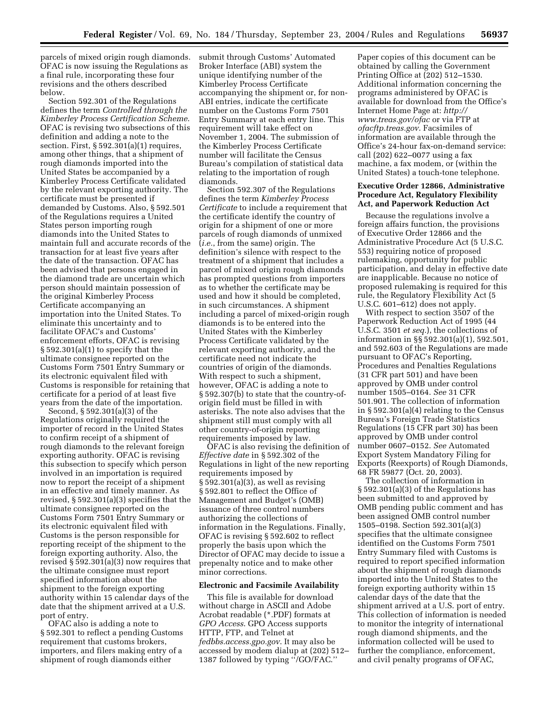parcels of mixed origin rough diamonds. OFAC is now issuing the Regulations as a final rule, incorporating these four revisions and the others described below.

Section 592.301 of the Regulations defines the term *Controlled through the Kimberley Process Certification Scheme*. OFAC is revising two subsections of this definition and adding a note to the section. First, § 592.301(a)(1) requires, among other things, that a shipment of rough diamonds imported into the United States be accompanied by a Kimberley Process Certificate validated by the relevant exporting authority. The certificate must be presented if demanded by Customs. Also, § 592.501 of the Regulations requires a United States person importing rough diamonds into the United States to maintain full and accurate records of the transaction for at least five years after the date of the transaction. OFAC has been advised that persons engaged in the diamond trade are uncertain which person should maintain possession of the original Kimberley Process Certificate accompanying an importation into the United States. To eliminate this uncertainty and to facilitate OFAC's and Customs' enforcement efforts, OFAC is revising  $§ 592.301(a)(1)$  to specify that the ultimate consignee reported on the Customs Form 7501 Entry Summary or its electronic equivalent filed with Customs is responsible for retaining that certificate for a period of at least five years from the date of the importation.

Second, § 592.301(a)(3) of the Regulations originally required the importer of record in the United States to confirm receipt of a shipment of rough diamonds to the relevant foreign exporting authority. OFAC is revising this subsection to specify which person involved in an importation is required now to report the receipt of a shipment in an effective and timely manner. As revised, § 592.301(a)(3) specifies that the ultimate consignee reported on the Customs Form 7501 Entry Summary or its electronic equivalent filed with Customs is the person responsible for reporting receipt of the shipment to the foreign exporting authority. Also, the revised § 592.301(a)(3) now requires that the ultimate consignee must report specified information about the shipment to the foreign exporting authority within 15 calendar days of the date that the shipment arrived at a U.S. port of entry.

OFAC also is adding a note to § 592.301 to reflect a pending Customs requirement that customs brokers, importers, and filers making entry of a shipment of rough diamonds either

submit through Customs' Automated Broker Interface (ABI) system the unique identifying number of the Kimberley Process Certificate accompanying the shipment or, for non-ABI entries, indicate the certificate number on the Customs Form 7501 Entry Summary at each entry line. This requirement will take effect on November 1, 2004. The submission of the Kimberley Process Certificate number will facilitate the Census Bureau's compilation of statistical data relating to the importation of rough diamonds.

Section 592.307 of the Regulations defines the term *Kimberley Process Certificate* to include a requirement that the certificate identify the country of origin for a shipment of one or more parcels of rough diamonds of unmixed (*i.e.*, from the same) origin. The definition's silence with respect to the treatment of a shipment that includes a parcel of mixed origin rough diamonds has prompted questions from importers as to whether the certificate may be used and how it should be completed, in such circumstances. A shipment including a parcel of mixed-origin rough diamonds is to be entered into the United States with the Kimberley Process Certificate validated by the relevant exporting authority, and the certificate need not indicate the countries of origin of the diamonds. With respect to such a shipment, however, OFAC is adding a note to § 592.307(b) to state that the country-oforigin field must be filled in with asterisks. The note also advises that the shipment still must comply with all other country-of-origin reporting requirements imposed by law.

OFAC is also revising the definition of *Effective date* in § 592.302 of the Regulations in light of the new reporting requirements imposed by § 592.301(a)(3), as well as revising § 592.801 to reflect the Office of Management and Budget's (OMB) issuance of three control numbers authorizing the collections of information in the Regulations. Finally, OFAC is revising § 592.602 to reflect properly the basis upon which the Director of OFAC may decide to issue a prepenalty notice and to make other minor corrections.

#### **Electronic and Facsimile Availability**

This file is available for download without charge in ASCII and Adobe Acrobat readable (\*.PDF) formats at *GPO Access*. GPO Access supports HTTP, FTP, and Telnet at *fedbbs.access.gpo.gov*. It may also be accessed by modem dialup at (202) 512– 1387 followed by typing ''/GO/FAC.''

Paper copies of this document can be obtained by calling the Government Printing Office at (202) 512–1530. Additional information concerning the programs administered by OFAC is available for download from the Office's [Internet Home Page at:](http://www.treas.gov/ofac) *http:// www.treas.gov/ofac* or via FTP at *ofacftp.treas.gov*. Facsimiles of information are available through the Office's 24-hour fax-on-demand service: call (202) 622–0077 using a fax machine, a fax modem, or (within the United States) a touch-tone telephone.

# **Executive Order 12866, Administrative Procedure Act, Regulatory Flexibility Act, and Paperwork Reduction Act**

Because the regulations involve a foreign affairs function, the provisions of Executive Order 12866 and the Administrative Procedure Act (5 U.S.C. 553) requiring notice of proposed rulemaking, opportunity for public participation, and delay in effective date are inapplicable. Because no notice of proposed rulemaking is required for this rule, the Regulatory Flexibility Act (5 U.S.C. 601–612) does not apply.

With respect to section 3507 of the Paperwork Reduction Act of 1995 (44 U.S.C. 3501 *et seq.*), the collections of information in §§ 592.301(a)(1), 592.501, and 592.603 of the Regulations are made pursuant to OFAC's Reporting, Procedures and Penalties Regulations (31 CFR part 501) and have been approved by OMB under control number 1505–0164. *See* 31 CFR 501.901. The collection of information in § 592.301(a)(4) relating to the Census Bureau's Foreign Trade Statistics Regulations (15 CFR part 30) has been approved by OMB under control number 0607–0152. *See* Automated Export System Mandatory Filing for Exports (Reexports) of Rough Diamonds, 68 FR 59877 (Oct. 20, 2003).

The collection of information in § 592.301(a)(3) of the Regulations has been submitted to and approved by OMB pending public comment and has been assigned OMB control number 1505–0198. Section 592.301(a)(3) specifies that the ultimate consignee identified on the Customs Form 7501 Entry Summary filed with Customs is required to report specified information about the shipment of rough diamonds imported into the United States to the foreign exporting authority within 15 calendar days of the date that the shipment arrived at a U.S. port of entry. This collection of information is needed to monitor the integrity of international rough diamond shipments, and the information collected will be used to further the compliance, enforcement, and civil penalty programs of OFAC,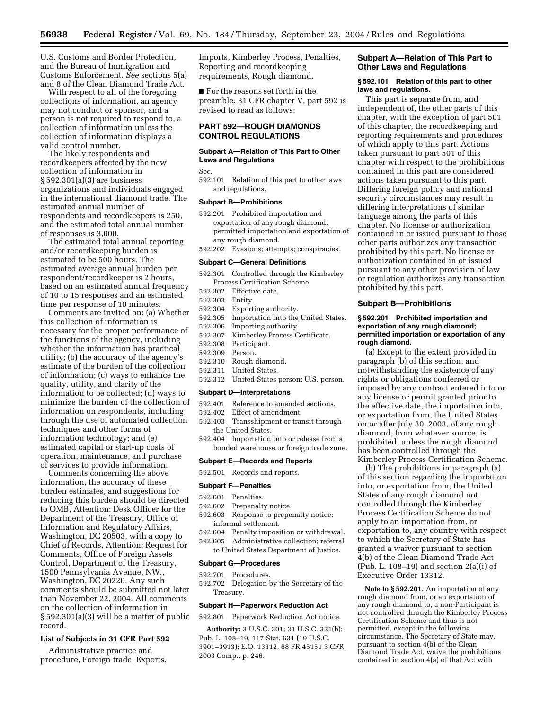U.S. Customs and Border Protection, and the Bureau of Immigration and Customs Enforcement. *See* sections 5(a) and 8 of the Clean Diamond Trade Act.

With respect to all of the foregoing collections of information, an agency may not conduct or sponsor, and a person is not required to respond to, a collection of information unless the collection of information displays a valid control number.

The likely respondents and recordkeepers affected by the new collection of information in § 592.301(a)(3) are business organizations and individuals engaged in the international diamond trade. The estimated annual number of respondents and recordkeepers is 250, and the estimated total annual number of responses is 3,000.

The estimated total annual reporting and/or recordkeeping burden is estimated to be 500 hours. The estimated average annual burden per respondent/recordkeeper is 2 hours, based on an estimated annual frequency of 10 to 15 responses and an estimated time per response of 10 minutes.

Comments are invited on: (a) Whether this collection of information is necessary for the proper performance of the functions of the agency, including whether the information has practical utility; (b) the accuracy of the agency's estimate of the burden of the collection of information; (c) ways to enhance the quality, utility, and clarity of the information to be collected; (d) ways to minimize the burden of the collection of information on respondents, including through the use of automated collection techniques and other forms of information technology; and (e) estimated capital or start-up costs of operation, maintenance, and purchase of services to provide information.

Comments concerning the above information, the accuracy of these burden estimates, and suggestions for reducing this burden should be directed to OMB, Attention: Desk Officer for the Department of the Treasury, Office of Information and Regulatory Affairs, Washington, DC 20503, with a copy to Chief of Records, Attention: Request for Comments, Office of Foreign Assets Control, Department of the Treasury, 1500 Pennsylvania Avenue, NW., Washington, DC 20220. Any such comments should be submitted not later than November 22, 2004. All comments on the collection of information in § 592.301(a)(3) will be a matter of public record.

## **List of Subjects in 31 CFR Part 592**

Administrative practice and procedure, Foreign trade, Exports, Imports, Kimberley Process, Penalties, Reporting and recordkeeping requirements, Rough diamond.

■ For the reasons set forth in the preamble, 31 CFR chapter V, part 592 is revised to read as follows:

# **PART 592—ROUGH DIAMONDS CONTROL REGULATIONS**

# **Subpart A—Relation of This Part to Other Laws and Regulations**

Sec.

592.101 Relation of this part to other laws and regulations.

#### **Subpart B—Prohibitions**

- 592.201 Prohibited importation and exportation of any rough diamond; permitted importation and exportation of any rough diamond.
- 592.202 Evasions; attempts; conspiracies.

#### **Subpart C—General Definitions**

- 592.301 Controlled through the Kimberley Process Certification Scheme.
- 592.302 Effective date.
- 592.303 Entity.
- 592.304 Exporting authority.
- 592.305 Importation into the United States.
- 
- 592.306 Importing authority.
- 592.307 Kimberley Process Certificate.
- 592.308 Participant. 592.309 Person.
- 592.310 Rough diamond.
- 592.311 United States.
- 592.312 United States person; U.S. person.
- 

## **Subpart D—Interpretations**

- 592.401 Reference to amended sections.
- 592.402 Effect of amendment.<br>592.403 Transshipment or tran
- Transshipment or transit through the United States.
- 592.404 Importation into or release from a bonded warehouse or foreign trade zone.

#### **Subpart E—Records and Reports**

592.501 Records and reports.

#### **Subpart F—Penalties**

- 592.601 Penalties.
- 592.602 Prepenalty notice. 592.603 Response to prepenalty notice;
- informal settlement.
- 592.604 Penalty imposition or withdrawal.
- 592.605 Administrative collection; referral to United States Department of Justice.

#### **Subpart G—Procedures**

#### 592.701 Procedures.

592.702 Delegation by the Secretary of the Treasury.

#### **Subpart H—Paperwork Reduction Act**

592.801 Paperwork Reduction Act notice.

**Authority:** 3 U.S.C. 301; 31 U.S.C. 321(b); Pub. L. 108–19, 117 Stat. 631 (19 U.S.C. 3901–3913); E.O. 13312, 68 FR 45151 3 CFR, 2003 Comp., p. 246.

# **Subpart A—Relation of This Part to Other Laws and Regulations**

#### **§ 592.101 Relation of this part to other laws and regulations.**

This part is separate from, and independent of, the other parts of this chapter, with the exception of part 501 of this chapter, the recordkeeping and reporting requirements and procedures of which apply to this part. Actions taken pursuant to part 501 of this chapter with respect to the prohibitions contained in this part are considered actions taken pursuant to this part. Differing foreign policy and national security circumstances may result in differing interpretations of similar language among the parts of this chapter. No license or authorization contained in or issued pursuant to those other parts authorizes any transaction prohibited by this part. No license or authorization contained in or issued pursuant to any other provision of law or regulation authorizes any transaction prohibited by this part.

#### **Subpart B—Prohibitions**

#### **§ 592.201 Prohibited importation and exportation of any rough diamond; permitted importation or exportation of any rough diamond.**

(a) Except to the extent provided in paragraph (b) of this section, and notwithstanding the existence of any rights or obligations conferred or imposed by any contract entered into or any license or permit granted prior to the effective date, the importation into, or exportation from, the United States on or after July 30, 2003, of any rough diamond, from whatever source, is prohibited, unless the rough diamond has been controlled through the Kimberley Process Certification Scheme.

(b) The prohibitions in paragraph (a) of this section regarding the importation into, or exportation from, the United States of any rough diamond not controlled through the Kimberley Process Certification Scheme do not apply to an importation from, or exportation to, any country with respect to which the Secretary of State has granted a waiver pursuant to section 4(b) of the Clean Diamond Trade Act (Pub. L. 108–19) and section  $2(a)(i)$  of Executive Order 13312.

**Note to § 592.201.** An importation of any rough diamond from, or an exportation of any rough diamond to, a non-Participant is not controlled through the Kimberley Process Certification Scheme and thus is not permitted, except in the following circumstance. The Secretary of State may, pursuant to section 4(b) of the Clean Diamond Trade Act, waive the prohibitions contained in section 4(a) of that Act with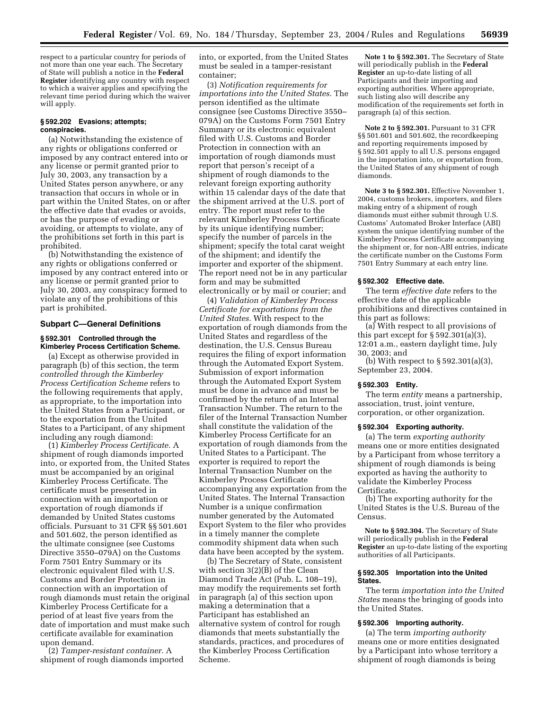respect to a particular country for periods of not more than one year each. The Secretary of State will publish a notice in the **Federal Register** identifying any country with respect to which a waiver applies and specifying the relevant time period during which the waiver will apply.

## **§ 592.202 Evasions; attempts; conspiracies.**

(a) Notwithstanding the existence of any rights or obligations conferred or imposed by any contract entered into or any license or permit granted prior to July 30, 2003, any transaction by a United States person anywhere, or any transaction that occurs in whole or in part within the United States, on or after the effective date that evades or avoids, or has the purpose of evading or avoiding, or attempts to violate, any of the prohibitions set forth in this part is prohibited.

(b) Notwithstanding the existence of any rights or obligations conferred or imposed by any contract entered into or any license or permit granted prior to July 30, 2003, any conspiracy formed to violate any of the prohibitions of this part is prohibited.

# **Subpart C—General Definitions**

## **§ 592.301 Controlled through the Kimberley Process Certification Scheme.**

(a) Except as otherwise provided in paragraph (b) of this section, the term *controlled through the Kimberley Process Certification Scheme* refers to the following requirements that apply, as appropriate, to the importation into the United States from a Participant, or to the exportation from the United States to a Participant, of any shipment including any rough diamond:

(1) *Kimberley Process Certificate.* A shipment of rough diamonds imported into, or exported from, the United States must be accompanied by an original Kimberley Process Certificate. The certificate must be presented in connection with an importation or exportation of rough diamonds if demanded by United States customs officials. Pursuant to 31 CFR §§ 501.601 and 501.602, the person identified as the ultimate consignee (see Customs Directive 3550–079A) on the Customs Form 7501 Entry Summary or its electronic equivalent filed with U.S. Customs and Border Protection in connection with an importation of rough diamonds must retain the original Kimberley Process Certificate for a period of at least five years from the date of importation and must make such certificate available for examination upon demand.

(2) *Tamper-resistant container.* A shipment of rough diamonds imported into, or exported, from the United States must be sealed in a tamper-resistant container;

(3) *Notification requirements for importations into the United States.* The person identified as the ultimate consignee (see Customs Directive 3550– 079A) on the Customs Form 7501 Entry Summary or its electronic equivalent filed with U.S. Customs and Border Protection in connection with an importation of rough diamonds must report that person's receipt of a shipment of rough diamonds to the relevant foreign exporting authority within 15 calendar days of the date that the shipment arrived at the U.S. port of entry. The report must refer to the relevant Kimberley Process Certificate by its unique identifying number; specify the number of parcels in the shipment; specify the total carat weight of the shipment; and identify the importer and exporter of the shipment. The report need not be in any particular form and may be submitted electronically or by mail or courier; and

(4) *Validation of Kimberley Process Certificate for exportations from the United States.* With respect to the exportation of rough diamonds from the United States and regardless of the destination, the U.S. Census Bureau requires the filing of export information through the Automated Export System. Submission of export information through the Automated Export System must be done in advance and must be confirmed by the return of an Internal Transaction Number. The return to the filer of the Internal Transaction Number shall constitute the validation of the Kimberley Process Certificate for an exportation of rough diamonds from the United States to a Participant. The exporter is required to report the Internal Transaction Number on the Kimberley Process Certificate accompanying any exportation from the United States. The Internal Transaction Number is a unique confirmation number generated by the Automated Export System to the filer who provides in a timely manner the complete commodity shipment data when such data have been accepted by the system.

(b) The Secretary of State, consistent with section 3(2)(B) of the Clean Diamond Trade Act (Pub. L. 108–19), may modify the requirements set forth in paragraph (a) of this section upon making a determination that a Participant has established an alternative system of control for rough diamonds that meets substantially the standards, practices, and procedures of the Kimberley Process Certification Scheme.

**Note 1 to § 592.301.** The Secretary of State will periodically publish in the **Federal Register** an up-to-date listing of all Participants and their importing and exporting authorities. Where appropriate, such listing also will describe any modification of the requirements set forth in paragraph (a) of this section.

**Note 2 to § 592.301.** Pursuant to 31 CFR §§ 501.601 and 501.602, the recordkeeping and reporting requirements imposed by § 592.501 apply to all U.S. persons engaged in the importation into, or exportation from, the United States of any shipment of rough diamonds.

**Note 3 to § 592.301.** Effective November 1, 2004, customs brokers, importers, and filers making entry of a shipment of rough diamonds must either submit through U.S. Customs' Automated Broker Interface (ABI) system the unique identifying number of the Kimberley Process Certificate accompanying the shipment or, for non-ABI entries, indicate the certificate number on the Customs Form 7501 Entry Summary at each entry line.

# **§ 592.302 Effective date.**

The term *effective date* refers to the effective date of the applicable prohibitions and directives contained in this part as follows:

(a) With respect to all provisions of this part except for  $\S 592.301(a)(3)$ , 12:01 a.m., eastern daylight time, July 30, 2003; and

(b) With respect to § 592.301(a)(3), September 23, 2004.

#### **§ 592.303 Entity.**

The term *entity* means a partnership, association, trust, joint venture, corporation, or other organization.

## **§ 592.304 Exporting authority.**

(a) The term *exporting authority* means one or more entities designated by a Participant from whose territory a shipment of rough diamonds is being exported as having the authority to validate the Kimberley Process Certificate.

(b) The exporting authority for the United States is the U.S. Bureau of the Census.

**Note to § 592.304.** The Secretary of State will periodically publish in the **Federal Register** an up-to-date listing of the exporting authorities of all Participants.

## **§ 592.305 Importation into the United States.**

The term *importation into the United States* means the bringing of goods into the United States.

# **§ 592.306 Importing authority.**

(a) The term *importing authority* means one or more entities designated by a Participant into whose territory a shipment of rough diamonds is being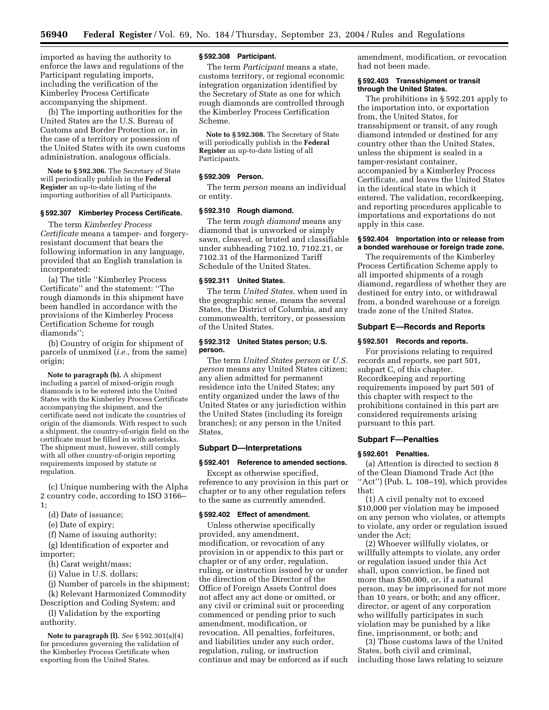imported as having the authority to enforce the laws and regulations of the Participant regulating imports, including the verification of the Kimberley Process Certificate accompanying the shipment.

(b) The importing authorities for the United States are the U.S. Bureau of Customs and Border Protection or, in the case of a territory or possession of the United States with its own customs administration, analogous officials.

**Note to § 592.306.** The Secretary of State will periodically publish in the **Federal Register** an up-to-date listing of the importing authorities of all Participants.

## **§ 592.307 Kimberley Process Certificate.**

The term *Kimberley Process Certificate* means a tamper- and forgeryresistant document that bears the following information in any language, provided that an English translation is incorporated:

(a) The title ''Kimberley Process Certificate'' and the statement: ''The rough diamonds in this shipment have been handled in accordance with the provisions of the Kimberley Process Certification Scheme for rough diamonds'';

(b) Country of origin for shipment of parcels of unmixed (*i.e.*, from the same) origin;

**Note to paragraph (b).** A shipment including a parcel of mixed-origin rough diamonds is to be entered into the United States with the Kimberley Process Certificate accompanying the shipment, and the certificate need not indicate the countries of origin of the diamonds. With respect to such a shipment, the country-of-origin field on the certificate must be filled in with asterisks. The shipment must, however, still comply with all other country-of-origin reporting requirements imposed by statute or regulation.

(c) Unique numbering with the Alpha 2 country code, according to ISO 3166– 1;

- (d) Date of issuance;
- (e) Date of expiry;
- (f) Name of issuing authority;

(g) Identification of exporter and importer;

- (h) Carat weight/mass;
- (i) Value in U.S. dollars;
- (j) Number of parcels in the shipment;

(k) Relevant Harmonized Commodity Description and Coding System; and

(l) Validation by the exporting authority.

**Note to paragraph (l).** *See* § 592.301(a)(4) for procedures governing the validation of the Kimberley Process Certificate when exporting from the United States.

# **§ 592.308 Participant.**

The term *Participant* means a state, customs territory, or regional economic integration organization identified by the Secretary of State as one for which rough diamonds are controlled through the Kimberley Process Certification Scheme.

**Note to § 592.308.** The Secretary of State will periodically publish in the **Federal Register** an up-to-date listing of all Participants.

## **§ 592.309 Person.**

The term *person* means an individual or entity.

# **§ 592.310 Rough diamond.**

The term *rough diamond* means any diamond that is unworked or simply sawn, cleaved, or bruted and classifiable under subheading 7102.10, 7102.21, or 7102.31 of the Harmonized Tariff Schedule of the United States.

## **§ 592.311 United States.**

The term *United States,* when used in the geographic sense, means the several States, the District of Columbia, and any commonwealth, territory, or possession of the United States.

#### **§ 592.312 United States person; U.S. person.**

The term *United States person* or *U.S. person* means any United States citizen; any alien admitted for permanent residence into the United States; any entity organized under the laws of the United States or any jurisdiction within the United States (including its foreign branches); or any person in the United States.

#### **Subpart D—Interpretations**

#### **§ 592.401 Reference to amended sections.**

Except as otherwise specified, reference to any provision in this part or chapter or to any other regulation refers to the same as currently amended.

#### **§ 592.402 Effect of amendment.**

Unless otherwise specifically provided, any amendment, modification, or revocation of any provision in or appendix to this part or chapter or of any order, regulation, ruling, or instruction issued by or under the direction of the Director of the Office of Foreign Assets Control does not affect any act done or omitted, or any civil or criminal suit or proceeding commenced or pending prior to such amendment, modification, or revocation. All penalties, forfeitures, and liabilities under any such order, regulation, ruling, or instruction continue and may be enforced as if such

amendment, modification, or revocation had not been made.

# **§ 592.403 Transshipment or transit through the United States.**

The prohibitions in § 592.201 apply to the importation into, or exportation from, the United States, for transshipment or transit, of any rough diamond intended or destined for any country other than the United States, unless the shipment is sealed in a tamper-resistant container, accompanied by a Kimberley Process Certificate, and leaves the United States in the identical state in which it entered. The validation, recordkeeping, and reporting procedures applicable to importations and exportations do not apply in this case.

## **§ 592.404 Importation into or release from a bonded warehouse or foreign trade zone.**

The requirements of the Kimberley Process Certification Scheme apply to all imported shipments of a rough diamond, regardless of whether they are destined for entry into, or withdrawal from, a bonded warehouse or a foreign trade zone of the United States.

#### **Subpart E—Records and Reports**

#### **§ 592.501 Records and reports.**

For provisions relating to required records and reports, see part 501, subpart C, of this chapter. Recordkeeping and reporting requirements imposed by part 501 of this chapter with respect to the prohibitions contained in this part are considered requirements arising pursuant to this part.

#### **Subpart F—Penalties**

#### **§ 592.601 Penalties.**

(a) Attention is directed to section 8 of the Clean Diamond Trade Act (the ''Act'') (Pub. L. 108–19), which provides that:

(1) A civil penalty not to exceed \$10,000 per violation may be imposed on any person who violates, or attempts to violate, any order or regulation issued under the Act;

(2) Whoever willfully violates, or willfully attempts to violate, any order or regulation issued under this Act shall, upon conviction, be fined not more than \$50,000, or, if a natural person, may be imprisoned for not more than 10 years, or both; and any officer, director, or agent of any corporation who willfully participates in such violation may be punished by a like fine, imprisonment, or both; and

(3) Those customs laws of the United States, both civil and criminal, including those laws relating to seizure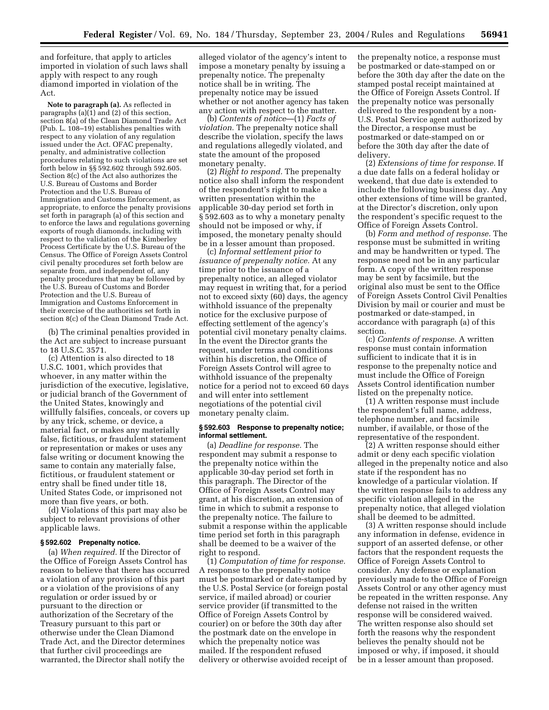and forfeiture, that apply to articles imported in violation of such laws shall apply with respect to any rough diamond imported in violation of the Act.

**Note to paragraph (a).** As reflected in paragraphs (a)(1) and (2) of this section, section 8(a) of the Clean Diamond Trade Act (Pub. L. 108–19) establishes penalties with respect to any violation of any regulation issued under the Act. OFAC prepenalty, penalty, and administrative collection procedures relating to such violations are set forth below in §§ 592.602 through 592.605. Section 8(c) of the Act also authorizes the U.S. Bureau of Customs and Border Protection and the U.S. Bureau of Immigration and Customs Enforcement, as appropriate, to enforce the penalty provisions set forth in paragraph (a) of this section and to enforce the laws and regulations governing exports of rough diamonds, including with respect to the validation of the Kimberley Process Certificate by the U.S. Bureau of the Census. The Office of Foreign Assets Control civil penalty procedures set forth below are separate from, and independent of, any penalty procedures that may be followed by the U.S. Bureau of Customs and Border Protection and the U.S. Bureau of Immigration and Customs Enforcement in their exercise of the authorities set forth in section 8(c) of the Clean Diamond Trade Act.

(b) The criminal penalties provided in the Act are subject to increase pursuant to 18 U.S.C. 3571.

(c) Attention is also directed to 18 U.S.C. 1001, which provides that whoever, in any matter within the jurisdiction of the executive, legislative, or judicial branch of the Government of the United States, knowingly and willfully falsifies, conceals, or covers up by any trick, scheme, or device, a material fact, or makes any materially false, fictitious, or fraudulent statement or representation or makes or uses any false writing or document knowing the same to contain any materially false, fictitious, or fraudulent statement or entry shall be fined under title 18, United States Code, or imprisoned not more than five years, or both.

(d) Violations of this part may also be subject to relevant provisions of other applicable laws.

# **§ 592.602 Prepenalty notice.**

(a) *When required.* If the Director of the Office of Foreign Assets Control has reason to believe that there has occurred a violation of any provision of this part or a violation of the provisions of any regulation or order issued by or pursuant to the direction or authorization of the Secretary of the Treasury pursuant to this part or otherwise under the Clean Diamond Trade Act, and the Director determines that further civil proceedings are warranted, the Director shall notify the

alleged violator of the agency's intent to impose a monetary penalty by issuing a prepenalty notice. The prepenalty notice shall be in writing. The prepenalty notice may be issued whether or not another agency has taken any action with respect to the matter.

(b) *Contents of notice*—(1) *Facts of violation.* The prepenalty notice shall describe the violation, specify the laws and regulations allegedly violated, and state the amount of the proposed monetary penalty.

(2) *Right to respond.* The prepenalty notice also shall inform the respondent of the respondent's right to make a written presentation within the applicable 30-day period set forth in § 592.603 as to why a monetary penalty should not be imposed or why, if imposed, the monetary penalty should be in a lesser amount than proposed.

(c) *Informal settlement prior to issuance of prepenalty notice.* At any time prior to the issuance of a prepenalty notice, an alleged violator may request in writing that, for a period not to exceed sixty (60) days, the agency withhold issuance of the prepenalty notice for the exclusive purpose of effecting settlement of the agency's potential civil monetary penalty claims. In the event the Director grants the request, under terms and conditions within his discretion, the Office of Foreign Assets Control will agree to withhold issuance of the prepenalty notice for a period not to exceed 60 days and will enter into settlement negotiations of the potential civil monetary penalty claim.

### **§ 592.603 Response to prepenalty notice; informal settlement.**

(a) *Deadline for response.* The respondent may submit a response to the prepenalty notice within the applicable 30-day period set forth in this paragraph. The Director of the Office of Foreign Assets Control may grant, at his discretion, an extension of time in which to submit a response to the prepenalty notice. The failure to submit a response within the applicable time period set forth in this paragraph shall be deemed to be a waiver of the right to respond.

(1) *Computation of time for response.* A response to the prepenalty notice must be postmarked or date-stamped by the U.S. Postal Service (or foreign postal service, if mailed abroad) or courier service provider (if transmitted to the Office of Foreign Assets Control by courier) on or before the 30th day after the postmark date on the envelope in which the prepenalty notice was mailed. If the respondent refused delivery or otherwise avoided receipt of

the prepenalty notice, a response must be postmarked or date-stamped on or before the 30th day after the date on the stamped postal receipt maintained at the Office of Foreign Assets Control. If the prepenalty notice was personally delivered to the respondent by a non-U.S. Postal Service agent authorized by the Director, a response must be postmarked or date-stamped on or before the 30th day after the date of delivery.

(2) *Extensions of time for response.* If a due date falls on a federal holiday or weekend, that due date is extended to include the following business day. Any other extensions of time will be granted, at the Director's discretion, only upon the respondent's specific request to the Office of Foreign Assets Control.

(b) *Form and method of response.* The response must be submitted in writing and may be handwritten or typed. The response need not be in any particular form. A copy of the written response may be sent by facsimile, but the original also must be sent to the Office of Foreign Assets Control Civil Penalties Division by mail or courier and must be postmarked or date-stamped, in accordance with paragraph (a) of this section.

(c) *Contents of response.* A written response must contain information sufficient to indicate that it is in response to the prepenalty notice and must include the Office of Foreign Assets Control identification number listed on the prepenalty notice.

(1) A written response must include the respondent's full name, address, telephone number, and facsimile number, if available, or those of the representative of the respondent.

(2) A written response should either admit or deny each specific violation alleged in the prepenalty notice and also state if the respondent has no knowledge of a particular violation. If the written response fails to address any specific violation alleged in the prepenalty notice, that alleged violation shall be deemed to be admitted.

(3) A written response should include any information in defense, evidence in support of an asserted defense, or other factors that the respondent requests the Office of Foreign Assets Control to consider. Any defense or explanation previously made to the Office of Foreign Assets Control or any other agency must be repeated in the written response. Any defense not raised in the written response will be considered waived. The written response also should set forth the reasons why the respondent believes the penalty should not be imposed or why, if imposed, it should be in a lesser amount than proposed.